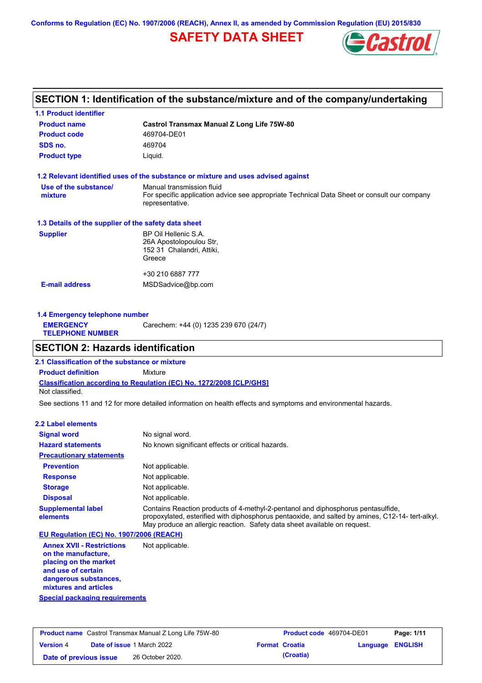**Conforms to Regulation (EC) No. 1907/2006 (REACH), Annex II, as amended by Commission Regulation (EU) 2015/830**

# **SAFETY DATA SHEET**



## **SECTION 1: Identification of the substance/mixture and of the company/undertaking**

| <b>1.1 Product identifier</b>                        |                                                                                                                                             |
|------------------------------------------------------|---------------------------------------------------------------------------------------------------------------------------------------------|
| <b>Product name</b>                                  | Castrol Transmax Manual Z Long Life 75W-80                                                                                                  |
| <b>Product code</b>                                  | 469704-DE01                                                                                                                                 |
| SDS no.                                              | 469704                                                                                                                                      |
| <b>Product type</b>                                  | Liquid.                                                                                                                                     |
|                                                      | 1.2 Relevant identified uses of the substance or mixture and uses advised against                                                           |
| Use of the substance/<br>mixture                     | Manual transmission fluid<br>For specific application advice see appropriate Technical Data Sheet or consult our company<br>representative. |
| 1.3 Details of the supplier of the safety data sheet |                                                                                                                                             |
| <b>Supplier</b>                                      | BP Oil Hellenic S.A.<br>26A Apostolopoulou Str.<br>152 31 Chalandri, Attiki,<br>Greece                                                      |
|                                                      | +30 210 6887 777                                                                                                                            |
| <b>E-mail address</b>                                | MSDSadvice@bp.com                                                                                                                           |
|                                                      |                                                                                                                                             |

| Carechem: +44 (0) 1235 239 670 (24/7)<br><b>EMERGENCY</b><br><b>TELEPHONE NUMBER</b> | 1.4 Emergency telephone number |  |  |  |  |
|--------------------------------------------------------------------------------------|--------------------------------|--|--|--|--|
|                                                                                      |                                |  |  |  |  |

## **SECTION 2: Hazards identification**

**Classification according to Regulation (EC) No. 1272/2008 [CLP/GHS] 2.1 Classification of the substance or mixture Product definition** Mixture Not classified.

See sections 11 and 12 for more detailed information on health effects and symptoms and environmental hazards.

### **2.2 Label elements**

| <b>Signal word</b>                       | No signal word.                                                                                                                                                                                                                                                   |
|------------------------------------------|-------------------------------------------------------------------------------------------------------------------------------------------------------------------------------------------------------------------------------------------------------------------|
| <b>Hazard statements</b>                 | No known significant effects or critical hazards.                                                                                                                                                                                                                 |
| <b>Precautionary statements</b>          |                                                                                                                                                                                                                                                                   |
| <b>Prevention</b>                        | Not applicable.                                                                                                                                                                                                                                                   |
| <b>Response</b>                          | Not applicable.                                                                                                                                                                                                                                                   |
| <b>Storage</b>                           | Not applicable.                                                                                                                                                                                                                                                   |
| <b>Disposal</b>                          | Not applicable.                                                                                                                                                                                                                                                   |
| <b>Supplemental label</b><br>elements    | Contains Reaction products of 4-methyl-2-pentanol and diphosphorus pentasulfide,<br>propoxylated, esterified with diphosphorus pentaoxide, and salted by amines, C12-14- tert-alkyl.<br>May produce an allergic reaction. Safety data sheet available on request. |
| EU Regulation (EC) No. 1907/2006 (REACH) |                                                                                                                                                                                                                                                                   |

**Annex XVII - Restrictions on the manufacture, placing on the market and use of certain dangerous substances, mixtures and articles** Not applicable.

**Special packaging requirements**

| <b>Product name</b> Castrol Transmax Manual Z Long Life 75W-80 |  |                                   | <b>Product code</b> 469704-DE01 |                         | Page: 1/11 |
|----------------------------------------------------------------|--|-----------------------------------|---------------------------------|-------------------------|------------|
| <b>Version 4</b>                                               |  | <b>Date of issue 1 March 2022</b> | <b>Format Croatia</b>           | <b>Language ENGLISH</b> |            |
| Date of previous issue                                         |  | 26 October 2020.                  | (Croatia)                       |                         |            |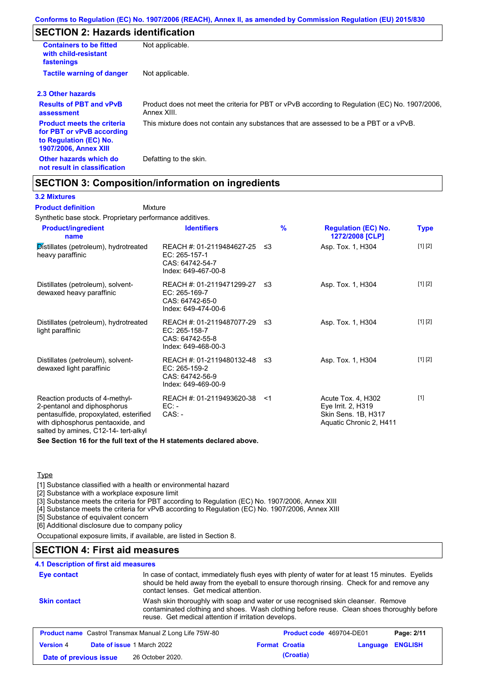# **SECTION 2: Hazards identification**

| <b>Containers to be fitted</b><br>with child-resistant<br>fastenings                                                     | Not applicable.                                                                                               |
|--------------------------------------------------------------------------------------------------------------------------|---------------------------------------------------------------------------------------------------------------|
| <b>Tactile warning of danger</b>                                                                                         | Not applicable.                                                                                               |
| 2.3 Other hazards                                                                                                        |                                                                                                               |
| <b>Results of PBT and vPvB</b><br>assessment                                                                             | Product does not meet the criteria for PBT or vPvB according to Regulation (EC) No. 1907/2006,<br>Annex XIII. |
| <b>Product meets the criteria</b><br>for PBT or vPvB according<br>to Regulation (EC) No.<br><b>1907/2006, Annex XIII</b> | This mixture does not contain any substances that are assessed to be a PBT or a vPvB.                         |
| Other hazards which do<br>not result in classification                                                                   | Defatting to the skin.                                                                                        |

## **SECTION 3: Composition/information on ingredients**

Mixture

#### **3.2 Mixtures**

**Product definition**

Synthetic base stock. Proprietary performance additives.

| <b>Product/ingredient</b><br>name                                                                                                                                                    | <b>Identifiers</b>                                                                      | $\frac{9}{6}$ | <b>Regulation (EC) No.</b><br>1272/2008 [CLP]                                              | Type    |
|--------------------------------------------------------------------------------------------------------------------------------------------------------------------------------------|-----------------------------------------------------------------------------------------|---------------|--------------------------------------------------------------------------------------------|---------|
| Distillates (petroleum), hydrotreated<br>heavy paraffinic                                                                                                                            | REACH #: 01-2119484627-25<br>EC: 265-157-1<br>CAS: 64742-54-7<br>Index: 649-467-00-8    | -≤3           | Asp. Tox. 1, H304                                                                          | [1] [2] |
| Distillates (petroleum), solvent-<br>dewaxed heavy paraffinic                                                                                                                        | REACH #: 01-2119471299-27 ≤3<br>EC: 265-169-7<br>CAS: 64742-65-0<br>Index: 649-474-00-6 |               | Asp. Tox. 1, H304                                                                          | [1] [2] |
| Distillates (petroleum), hydrotreated<br>light paraffinic                                                                                                                            | REACH #: 01-2119487077-29 ≤3<br>EC: 265-158-7<br>CAS: 64742-55-8<br>Index: 649-468-00-3 |               | Asp. Tox. 1, H304                                                                          | [1] [2] |
| Distillates (petroleum), solvent-<br>dewaxed light paraffinic                                                                                                                        | REACH #: 01-2119480132-48 ≤3<br>EC: 265-159-2<br>CAS: 64742-56-9<br>Index: 649-469-00-9 |               | Asp. Tox. 1, H304                                                                          | [1] [2] |
| Reaction products of 4-methyl-<br>2-pentanol and diphosphorus<br>pentasulfide, propoxylated, esterified<br>with diphosphorus pentaoxide, and<br>salted by amines, C12-14- tert-alkyl | REACH #: 01-2119493620-38<br>EC: -<br>$CAS. -$                                          | <1            | Acute Tox. 4, H302<br>Eye Irrit. 2, H319<br>Skin Sens. 1B, H317<br>Aquatic Chronic 2, H411 | $[1]$   |

**See Section 16 for the full text of the H statements declared above.**

#### **Type**

[1] Substance classified with a health or environmental hazard

[2] Substance with a workplace exposure limit

[3] Substance meets the criteria for PBT according to Regulation (EC) No. 1907/2006, Annex XIII

[4] Substance meets the criteria for vPvB according to Regulation (EC) No. 1907/2006, Annex XIII

[5] Substance of equivalent concern

[6] Additional disclosure due to company policy

Occupational exposure limits, if available, are listed in Section 8.

## **SECTION 4: First aid measures**

### **4.1 Description of first aid measures**

| Eye contact                                                                                              | In case of contact, immediately flush eyes with plenty of water for at least 15 minutes. Eyelids<br>should be held away from the eyeball to ensure thorough rinsing. Check for and remove any<br>contact lenses. Get medical attention. |  |                       |          |                |
|----------------------------------------------------------------------------------------------------------|-----------------------------------------------------------------------------------------------------------------------------------------------------------------------------------------------------------------------------------------|--|-----------------------|----------|----------------|
| <b>Skin contact</b>                                                                                      | Wash skin thoroughly with soap and water or use recognised skin cleanser. Remove<br>contaminated clothing and shoes. Wash clothing before reuse. Clean shoes thoroughly before<br>reuse. Get medical attention if irritation develops.  |  |                       |          |                |
| <b>Product name</b> Castrol Transmax Manual Z Long Life 75W-80<br>Product code 469704-DE01<br>Page: 2/11 |                                                                                                                                                                                                                                         |  |                       |          |                |
| <b>Version 4</b>                                                                                         | Date of issue 1 March 2022                                                                                                                                                                                                              |  | <b>Format Croatia</b> | Language | <b>ENGLISH</b> |
| Date of previous issue                                                                                   | 26 October 2020.                                                                                                                                                                                                                        |  | (Croatia)             |          |                |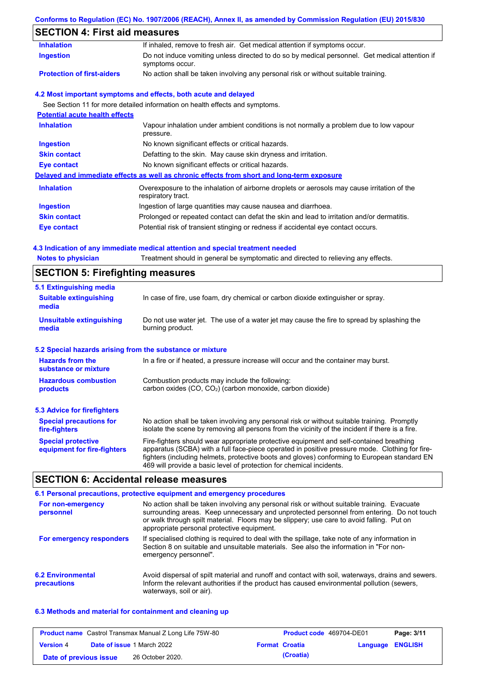## **Conforms to Regulation (EC) No. 1907/2006 (REACH), Annex II, as amended by Commission Regulation (EU) 2015/830**

# **SECTION 4: First aid measures**

| <b>Inhalation</b>                     | If inhaled, remove to fresh air. Get medical attention if symptoms occur.                                         |
|---------------------------------------|-------------------------------------------------------------------------------------------------------------------|
| <b>Ingestion</b>                      | Do not induce vomiting unless directed to do so by medical personnel. Get medical attention if<br>symptoms occur. |
| <b>Protection of first-aiders</b>     | No action shall be taken involving any personal risk or without suitable training.                                |
|                                       | 4.2 Most important symptoms and effects, both acute and delayed                                                   |
|                                       | See Section 11 for more detailed information on health effects and symptoms.                                      |
| <b>Potential acute health effects</b> |                                                                                                                   |
| <b>Inhalation</b>                     | Vapour inhalation under ambient conditions is not normally a problem due to low vapour<br>pressure.               |
| <b>Ingestion</b>                      | No known significant effects or critical hazards.                                                                 |
| <b>Skin contact</b>                   | Defatting to the skin. May cause skin dryness and irritation.                                                     |
| Eye contact                           | No known significant effects or critical hazards.                                                                 |
|                                       | Delayed and immediate effects as well as chronic effects from short and long-term exposure                        |
| <b>Inhalation</b>                     | Overexposure to the inhalation of airborne droplets or aerosols may cause irritation of the<br>respiratory tract. |
| <b>Ingestion</b>                      | Ingestion of large quantities may cause nausea and diarrhoea.                                                     |
| <b>Skin contact</b>                   | Prolonged or repeated contact can defat the skin and lead to irritation and/or dermatitis.                        |
|                                       |                                                                                                                   |

### **4.3 Indication of any immediate medical attention and special treatment needed**

| <b>Notes to physician</b>                                 | Treatment should in general be symptomatic and directed to relieving any effects.                                                                                                                                                                                                                                                                                 |  |  |
|-----------------------------------------------------------|-------------------------------------------------------------------------------------------------------------------------------------------------------------------------------------------------------------------------------------------------------------------------------------------------------------------------------------------------------------------|--|--|
| <b>SECTION 5: Firefighting measures</b>                   |                                                                                                                                                                                                                                                                                                                                                                   |  |  |
| 5.1 Extinguishing media                                   |                                                                                                                                                                                                                                                                                                                                                                   |  |  |
| <b>Suitable extinguishing</b><br>media                    | In case of fire, use foam, dry chemical or carbon dioxide extinguisher or spray.                                                                                                                                                                                                                                                                                  |  |  |
| <b>Unsuitable extinguishing</b><br>media                  | Do not use water jet. The use of a water jet may cause the fire to spread by splashing the<br>burning product.                                                                                                                                                                                                                                                    |  |  |
| 5.2 Special hazards arising from the substance or mixture |                                                                                                                                                                                                                                                                                                                                                                   |  |  |
| <b>Hazards from the</b><br>substance or mixture           | In a fire or if heated, a pressure increase will occur and the container may burst.                                                                                                                                                                                                                                                                               |  |  |
| <b>Hazardous combustion</b>                               | Combustion products may include the following:                                                                                                                                                                                                                                                                                                                    |  |  |
| products                                                  | carbon oxides (CO, CO <sub>2</sub> ) (carbon monoxide, carbon dioxide)                                                                                                                                                                                                                                                                                            |  |  |
| <b>5.3 Advice for firefighters</b>                        |                                                                                                                                                                                                                                                                                                                                                                   |  |  |
| <b>Special precautions for</b><br>fire-fighters           | No action shall be taken involving any personal risk or without suitable training. Promptly<br>isolate the scene by removing all persons from the vicinity of the incident if there is a fire.                                                                                                                                                                    |  |  |
| <b>Special protective</b><br>equipment for fire-fighters  | Fire-fighters should wear appropriate protective equipment and self-contained breathing<br>apparatus (SCBA) with a full face-piece operated in positive pressure mode. Clothing for fire-<br>fighters (including helmets, protective boots and gloves) conforming to European standard EN<br>469 will provide a basic level of protection for chemical incidents. |  |  |

# **SECTION 6: Accidental release measures**

|                                         | 6.1 Personal precautions, protective equipment and emergency procedures                                                                                                                                                                                                                                                             |
|-----------------------------------------|-------------------------------------------------------------------------------------------------------------------------------------------------------------------------------------------------------------------------------------------------------------------------------------------------------------------------------------|
| For non-emergency<br>personnel          | No action shall be taken involving any personal risk or without suitable training. Evacuate<br>surrounding areas. Keep unnecessary and unprotected personnel from entering. Do not touch<br>or walk through spilt material. Floors may be slippery; use care to avoid falling. Put on<br>appropriate personal protective equipment. |
| For emergency responders                | If specialised clothing is required to deal with the spillage, take note of any information in<br>Section 8 on suitable and unsuitable materials. See also the information in "For non-<br>emergency personnel".                                                                                                                    |
| <b>6.2 Environmental</b><br>precautions | Avoid dispersal of spilt material and runoff and contact with soil, waterways, drains and sewers.<br>Inform the relevant authorities if the product has caused environmental pollution (sewers,<br>waterways, soil or air).                                                                                                         |

### **6.3 Methods and material for containment and cleaning up**

| <b>Product name</b> Castrol Transmax Manual Z Long Life 75W-80 |  | <b>Product code</b> 469704-DE01   |  | Page: 3/11            |                         |  |
|----------------------------------------------------------------|--|-----------------------------------|--|-----------------------|-------------------------|--|
| <b>Version</b> 4                                               |  | <b>Date of issue 1 March 2022</b> |  | <b>Format Croatia</b> | <b>Language ENGLISH</b> |  |
| Date of previous issue                                         |  | 26 October 2020.                  |  | (Croatia)             |                         |  |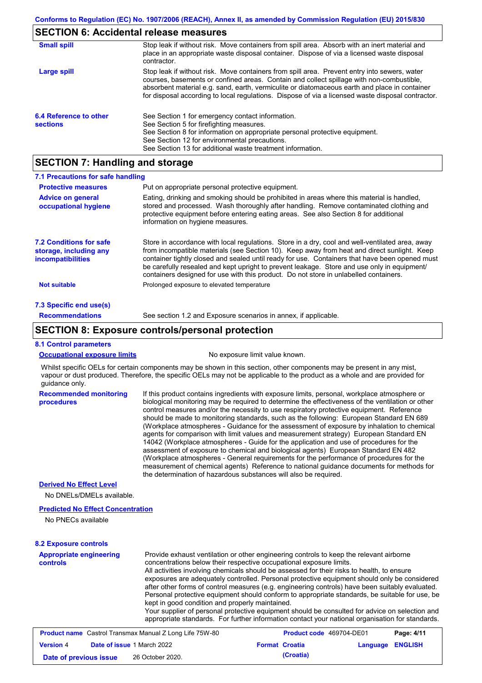## **SECTION 6: Accidental release measures**

| <b>Small spill</b>                        | Stop leak if without risk. Move containers from spill area. Absorb with an inert material and<br>place in an appropriate waste disposal container. Dispose of via a licensed waste disposal<br>contractor.                                                                                                                                                                                     |
|-------------------------------------------|------------------------------------------------------------------------------------------------------------------------------------------------------------------------------------------------------------------------------------------------------------------------------------------------------------------------------------------------------------------------------------------------|
| Large spill                               | Stop leak if without risk. Move containers from spill area. Prevent entry into sewers, water<br>courses, basements or confined areas. Contain and collect spillage with non-combustible,<br>absorbent material e.g. sand, earth, vermiculite or diatomaceous earth and place in container<br>for disposal according to local regulations. Dispose of via a licensed waste disposal contractor. |
| 6.4 Reference to other<br><b>sections</b> | See Section 1 for emergency contact information.<br>See Section 5 for firefighting measures.<br>See Section 8 for information on appropriate personal protective equipment.<br>See Section 12 for environmental precautions.<br>See Section 13 for additional waste treatment information.                                                                                                     |

## **SECTION 7: Handling and storage**

| 7.1 Precautions for safe handling                                                    |                                                                                                                                                                                                                                                                                                                                                                                                                                                                                          |
|--------------------------------------------------------------------------------------|------------------------------------------------------------------------------------------------------------------------------------------------------------------------------------------------------------------------------------------------------------------------------------------------------------------------------------------------------------------------------------------------------------------------------------------------------------------------------------------|
| <b>Protective measures</b>                                                           | Put on appropriate personal protective equipment.                                                                                                                                                                                                                                                                                                                                                                                                                                        |
| <b>Advice on general</b><br>occupational hygiene                                     | Eating, drinking and smoking should be prohibited in areas where this material is handled,<br>stored and processed. Wash thoroughly after handling. Remove contaminated clothing and<br>protective equipment before entering eating areas. See also Section 8 for additional<br>information on hygiene measures.                                                                                                                                                                         |
| <b>7.2 Conditions for safe</b><br>storage, including any<br><i>incompatibilities</i> | Store in accordance with local requlations. Store in a dry, cool and well-ventilated area, away<br>from incompatible materials (see Section 10). Keep away from heat and direct sunlight. Keep<br>container tightly closed and sealed until ready for use. Containers that have been opened must<br>be carefully resealed and kept upright to prevent leakage. Store and use only in equipment/<br>containers designed for use with this product. Do not store in unlabelled containers. |
| <b>Not suitable</b>                                                                  | Prolonged exposure to elevated temperature                                                                                                                                                                                                                                                                                                                                                                                                                                               |
| 7.3 Specific end use(s)                                                              |                                                                                                                                                                                                                                                                                                                                                                                                                                                                                          |
| <b>Recommendations</b>                                                               | See section 1.2 and Exposure scenarios in annex, if applicable.                                                                                                                                                                                                                                                                                                                                                                                                                          |

## **SECTION 8: Exposure controls/personal protection**

#### **8.1 Control parameters**

**procedures**

|--|

No exposure limit value known.

Whilst specific OELs for certain components may be shown in this section, other components may be present in any mist, vapour or dust produced. Therefore, the specific OELs may not be applicable to the product as a whole and are provided for guidance only.

**Recommended monitoring**  If this product contains ingredients with exposure limits, personal, workplace atmosphere or biological monitoring may be required to determine the effectiveness of the ventilation or other control measures and/or the necessity to use respiratory protective equipment. Reference should be made to monitoring standards, such as the following: European Standard EN 689 (Workplace atmospheres - Guidance for the assessment of exposure by inhalation to chemical agents for comparison with limit values and measurement strategy) European Standard EN 14042 (Workplace atmospheres - Guide for the application and use of procedures for the assessment of exposure to chemical and biological agents) European Standard EN 482 (Workplace atmospheres - General requirements for the performance of procedures for the measurement of chemical agents) Reference to national guidance documents for methods for the determination of hazardous substances will also be required.

#### **Derived No Effect Level**

No DNELs/DMELs available.

#### **Predicted No Effect Concentration**

No PNECs available

#### **8.2 Exposure controls**

| <b>Appropriate engineering</b><br>Provide exhaust ventilation or other engineering controls to keep the relevant airborne<br>concentrations below their respective occupational exposure limits.<br><b>controls</b><br>All activities involving chemicals should be assessed for their risks to health, to ensure<br>kept in good condition and properly maintained. | exposures are adequately controlled. Personal protective equipment should only be considered<br>after other forms of control measures (e.g. engineering controls) have been suitably evaluated.<br>Personal protective equipment should conform to appropriate standards, be suitable for use, be<br>Your supplier of personal protective equipment should be consulted for advice on selection and<br>appropriate standards. For further information contact your national organisation for standards. |
|----------------------------------------------------------------------------------------------------------------------------------------------------------------------------------------------------------------------------------------------------------------------------------------------------------------------------------------------------------------------|---------------------------------------------------------------------------------------------------------------------------------------------------------------------------------------------------------------------------------------------------------------------------------------------------------------------------------------------------------------------------------------------------------------------------------------------------------------------------------------------------------|
|----------------------------------------------------------------------------------------------------------------------------------------------------------------------------------------------------------------------------------------------------------------------------------------------------------------------------------------------------------------------|---------------------------------------------------------------------------------------------------------------------------------------------------------------------------------------------------------------------------------------------------------------------------------------------------------------------------------------------------------------------------------------------------------------------------------------------------------------------------------------------------------|

| <b>Product name</b> Castrol Transmax Manual Z Long Life 75W-80 |  | <b>Product code</b> 469704-DE01   | Page: 4/11 |                       |                  |  |
|----------------------------------------------------------------|--|-----------------------------------|------------|-----------------------|------------------|--|
| <b>Version</b> 4                                               |  | <b>Date of issue 1 March 2022</b> |            | <b>Format Croatia</b> | Language ENGLISH |  |
| Date of previous issue                                         |  | 26 October 2020.                  |            | (Croatia)             |                  |  |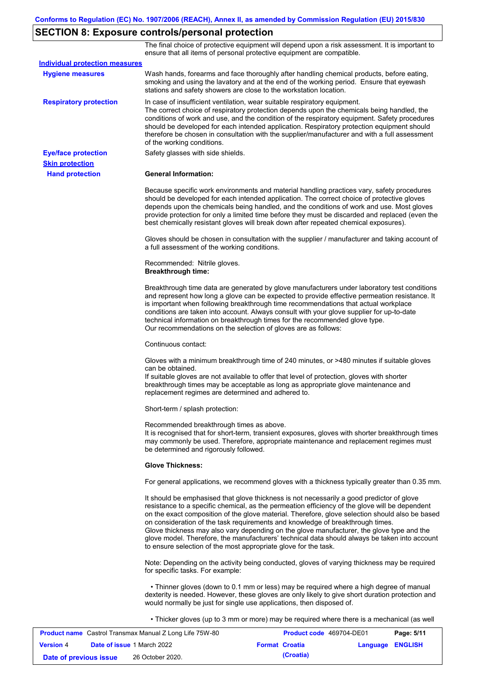# **SECTION 8: Exposure controls/personal protection**

The final choice of protective equipment will depend upon a risk assessment. It is important to ensure that all items of personal protective equipment are compatible.

| <b>Individual protection measures</b> |                                                                                                                                                                                                                                                                                                                                                                                                                                                                                                                                                                                                                                                   |
|---------------------------------------|---------------------------------------------------------------------------------------------------------------------------------------------------------------------------------------------------------------------------------------------------------------------------------------------------------------------------------------------------------------------------------------------------------------------------------------------------------------------------------------------------------------------------------------------------------------------------------------------------------------------------------------------------|
| <b>Hygiene measures</b>               | Wash hands, forearms and face thoroughly after handling chemical products, before eating,<br>smoking and using the lavatory and at the end of the working period. Ensure that eyewash<br>stations and safety showers are close to the workstation location.                                                                                                                                                                                                                                                                                                                                                                                       |
| <b>Respiratory protection</b>         | In case of insufficient ventilation, wear suitable respiratory equipment.<br>The correct choice of respiratory protection depends upon the chemicals being handled, the<br>conditions of work and use, and the condition of the respiratory equipment. Safety procedures<br>should be developed for each intended application. Respiratory protection equipment should<br>therefore be chosen in consultation with the supplier/manufacturer and with a full assessment<br>of the working conditions.                                                                                                                                             |
| <b>Eye/face protection</b>            | Safety glasses with side shields.                                                                                                                                                                                                                                                                                                                                                                                                                                                                                                                                                                                                                 |
| <b>Skin protection</b>                |                                                                                                                                                                                                                                                                                                                                                                                                                                                                                                                                                                                                                                                   |
| <b>Hand protection</b>                | <b>General Information:</b>                                                                                                                                                                                                                                                                                                                                                                                                                                                                                                                                                                                                                       |
|                                       | Because specific work environments and material handling practices vary, safety procedures<br>should be developed for each intended application. The correct choice of protective gloves<br>depends upon the chemicals being handled, and the conditions of work and use. Most gloves<br>provide protection for only a limited time before they must be discarded and replaced (even the<br>best chemically resistant gloves will break down after repeated chemical exposures).                                                                                                                                                                  |
|                                       | Gloves should be chosen in consultation with the supplier / manufacturer and taking account of<br>a full assessment of the working conditions.                                                                                                                                                                                                                                                                                                                                                                                                                                                                                                    |
|                                       | Recommended: Nitrile gloves.<br><b>Breakthrough time:</b>                                                                                                                                                                                                                                                                                                                                                                                                                                                                                                                                                                                         |
|                                       | Breakthrough time data are generated by glove manufacturers under laboratory test conditions<br>and represent how long a glove can be expected to provide effective permeation resistance. It<br>is important when following breakthrough time recommendations that actual workplace<br>conditions are taken into account. Always consult with your glove supplier for up-to-date<br>technical information on breakthrough times for the recommended glove type.<br>Our recommendations on the selection of gloves are as follows:                                                                                                                |
|                                       | Continuous contact:                                                                                                                                                                                                                                                                                                                                                                                                                                                                                                                                                                                                                               |
|                                       | Gloves with a minimum breakthrough time of 240 minutes, or >480 minutes if suitable gloves<br>can be obtained.<br>If suitable gloves are not available to offer that level of protection, gloves with shorter<br>breakthrough times may be acceptable as long as appropriate glove maintenance and<br>replacement regimes are determined and adhered to.                                                                                                                                                                                                                                                                                          |
|                                       | Short-term / splash protection:                                                                                                                                                                                                                                                                                                                                                                                                                                                                                                                                                                                                                   |
|                                       | Recommended breakthrough times as above.<br>It is recognised that for short-term, transient exposures, gloves with shorter breakthrough times<br>may commonly be used. Therefore, appropriate maintenance and replacement regimes must<br>be determined and rigorously followed.                                                                                                                                                                                                                                                                                                                                                                  |
|                                       | <b>Glove Thickness:</b>                                                                                                                                                                                                                                                                                                                                                                                                                                                                                                                                                                                                                           |
|                                       | For general applications, we recommend gloves with a thickness typically greater than 0.35 mm.                                                                                                                                                                                                                                                                                                                                                                                                                                                                                                                                                    |
|                                       | It should be emphasised that glove thickness is not necessarily a good predictor of glove<br>resistance to a specific chemical, as the permeation efficiency of the glove will be dependent<br>on the exact composition of the glove material. Therefore, glove selection should also be based<br>on consideration of the task requirements and knowledge of breakthrough times.<br>Glove thickness may also vary depending on the glove manufacturer, the glove type and the<br>glove model. Therefore, the manufacturers' technical data should always be taken into account<br>to ensure selection of the most appropriate glove for the task. |
|                                       | Note: Depending on the activity being conducted, gloves of varying thickness may be required<br>for specific tasks. For example:                                                                                                                                                                                                                                                                                                                                                                                                                                                                                                                  |
|                                       | • Thinner gloves (down to 0.1 mm or less) may be required where a high degree of manual<br>dexterity is needed. However, these gloves are only likely to give short duration protection and<br>would normally be just for single use applications, then disposed of.                                                                                                                                                                                                                                                                                                                                                                              |
|                                       | • Thicker gloves (up to 3 mm or more) may be required where there is a mechanical (as well                                                                                                                                                                                                                                                                                                                                                                                                                                                                                                                                                        |

| <b>Product name</b> Castrol Transmax Manual Z Long Life 75W-80 |  | <b>Product code</b> 469704-DE01   |  | Page: 5/11            |                         |  |
|----------------------------------------------------------------|--|-----------------------------------|--|-----------------------|-------------------------|--|
| <b>Version 4</b>                                               |  | <b>Date of issue 1 March 2022</b> |  | <b>Format Croatia</b> | <b>Language ENGLISH</b> |  |
| Date of previous issue                                         |  | 26 October 2020.                  |  | (Croatia)             |                         |  |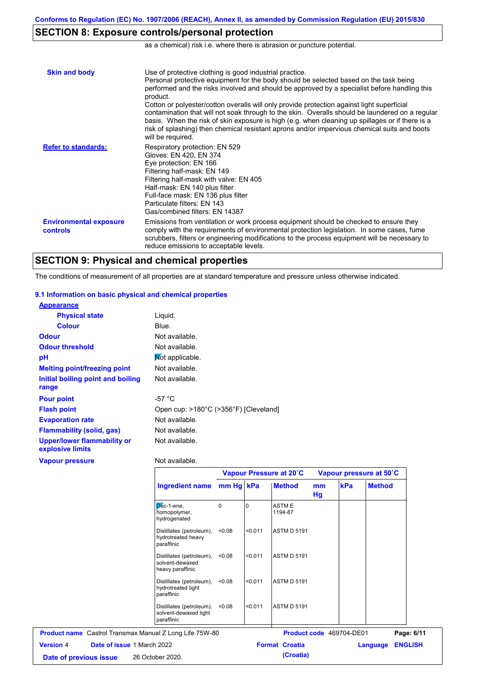# **SECTION 8: Exposure controls/personal protection**

as a chemical) risk i.e. where there is abrasion or puncture potential.

| <b>Skin and body</b>                             | Use of protective clothing is good industrial practice.<br>Personal protective equipment for the body should be selected based on the task being<br>performed and the risks involved and should be approved by a specialist before handling this<br>product.<br>Cotton or polyester/cotton overalls will only provide protection against light superficial<br>contamination that will not soak through to the skin. Overalls should be laundered on a regular<br>basis. When the risk of skin exposure is high (e.g. when cleaning up spillages or if there is a<br>risk of splashing) then chemical resistant aprons and/or impervious chemical suits and boots<br>will be required. |
|--------------------------------------------------|---------------------------------------------------------------------------------------------------------------------------------------------------------------------------------------------------------------------------------------------------------------------------------------------------------------------------------------------------------------------------------------------------------------------------------------------------------------------------------------------------------------------------------------------------------------------------------------------------------------------------------------------------------------------------------------|
| <b>Refer to standards:</b>                       | Respiratory protection: EN 529<br>Gloves: EN 420, EN 374<br>Eye protection: EN 166<br>Filtering half-mask: EN 149<br>Filtering half-mask with valve: EN 405<br>Half-mask: EN 140 plus filter<br>Full-face mask: EN 136 plus filter<br>Particulate filters: FN 143<br>Gas/combined filters: EN 14387                                                                                                                                                                                                                                                                                                                                                                                   |
| <b>Environmental exposure</b><br><b>controls</b> | Emissions from ventilation or work process equipment should be checked to ensure they<br>comply with the requirements of environmental protection legislation. In some cases, fume<br>scrubbers, filters or engineering modifications to the process equipment will be necessary to<br>reduce emissions to acceptable levels.                                                                                                                                                                                                                                                                                                                                                         |

## **SECTION 9: Physical and chemical properties**

The conditions of measurement of all properties are at standard temperature and pressure unless otherwise indicated.

### **9.1 Information on basic physical and chemical properties**

| <b>Appearance</b>                                      |                                       |
|--------------------------------------------------------|---------------------------------------|
| <b>Physical state</b>                                  | Liguid.                               |
| <b>Colour</b>                                          | Blue.                                 |
| <b>Odour</b>                                           | Not available.                        |
| <b>Odour threshold</b>                                 | Not available.                        |
| рH                                                     | Mot applicable.                       |
| <b>Melting point/freezing point</b>                    | Not available.                        |
| Initial boiling point and boiling                      | Not available.                        |
| range                                                  |                                       |
| <b>Pour point</b>                                      | -57 $^{\circ}$ C                      |
| <b>Flash point</b>                                     | Open cup: >180°C (>356°F) [Cleveland] |
| <b>Evaporation rate</b>                                | Not available.                        |
| <b>Flammability (solid, gas)</b>                       | Not available.                        |
| <b>Upper/lower flammability or</b><br>explosive limits | Not available.                        |
| <b>Vapour pressure</b>                                 | Not available.                        |

|                                                                 |           | Vapour Pressure at 20°C |                          |          | Vapour pressure at 50°C |               |                |  |
|-----------------------------------------------------------------|-----------|-------------------------|--------------------------|----------|-------------------------|---------------|----------------|--|
| <b>Ingredient name</b>                                          | mm Hg kPa |                         | <b>Method</b>            | mm<br>Hg | kPa                     | <b>Method</b> |                |  |
| $D6c-1$ -ene,<br>homopolymer,<br>hydrogenated                   | $\Omega$  |                         | <b>ASTME</b><br>1194-87  |          |                         |               |                |  |
| Distillates (petroleum),<br>hydrotreated heavy<br>paraffinic    | < 0.08    | < 0.011                 | <b>ASTM D 5191</b>       |          |                         |               |                |  |
| Distillates (petroleum),<br>solvent-dewaxed<br>heavy paraffinic | < 0.08    | < 0.011                 | <b>ASTM D 5191</b>       |          |                         |               |                |  |
| Distillates (petroleum),<br>hydrotreated light<br>paraffinic    | < 0.08    | < 0.011                 | <b>ASTM D 5191</b>       |          |                         |               |                |  |
| Distillates (petroleum),<br>solvent-dewaxed light<br>paraffinic | < 0.08    | < 0.011                 | <b>ASTM D 5191</b>       |          |                         |               |                |  |
| <b>Product name</b> Castrol Transmax Manual Z Long Life 75W-80  |           |                         | Product code 469704-DE01 |          |                         |               | Page: 6/11     |  |
| Date of issue 1 March 2022<br><b>Version 4</b>                  |           | <b>Format Croatia</b>   |                          |          | Language                |               | <b>ENGLISH</b> |  |
| 26 October 2020.<br>Date of previous issue                      |           |                         | (Croatia)                |          |                         |               |                |  |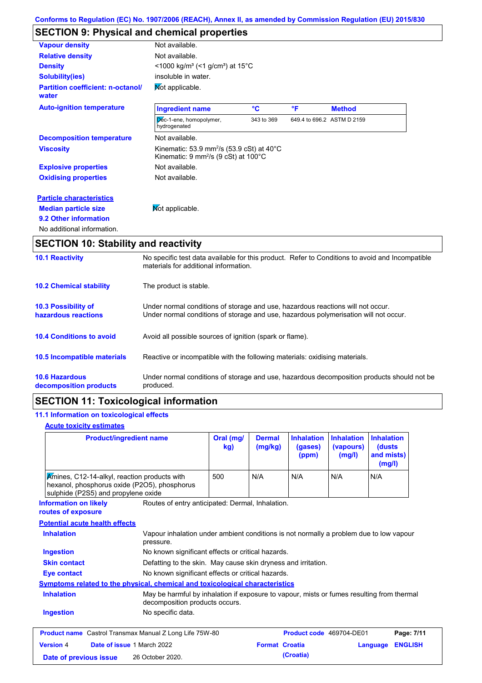# **SECTION 9: Physical and chemical properties**

| <b>Vapour density</b>                             | Not available.                                                                                                       |            |    |                            |
|---------------------------------------------------|----------------------------------------------------------------------------------------------------------------------|------------|----|----------------------------|
| <b>Relative density</b>                           | Not available.                                                                                                       |            |    |                            |
| <b>Density</b>                                    | $<$ 1000 kg/m <sup>3</sup> (<1 g/cm <sup>3</sup> ) at 15 <sup>°</sup> C                                              |            |    |                            |
| <b>Solubility(ies)</b>                            | insoluble in water.                                                                                                  |            |    |                            |
| <b>Partition coefficient: n-octanol/</b><br>water | Mot applicable.                                                                                                      |            |    |                            |
| <b>Auto-ignition temperature</b>                  | <b>Ingredient name</b>                                                                                               | °C         | °F | <b>Method</b>              |
|                                                   | Dec-1-ene, homopolymer,<br>hydrogenated                                                                              | 343 to 369 |    | 649.4 to 696.2 ASTM D 2159 |
| <b>Decomposition temperature</b>                  | Not available.                                                                                                       |            |    |                            |
| <b>Viscosity</b>                                  | Kinematic: 53.9 mm <sup>2</sup> /s (53.9 cSt) at 40 $^{\circ}$ C<br>Kinematic: 9 mm <sup>2</sup> /s (9 cSt) at 100°C |            |    |                            |
| <b>Explosive properties</b>                       | Not available.                                                                                                       |            |    |                            |
| <b>Oxidising properties</b>                       | Not available.                                                                                                       |            |    |                            |
| <b>Particle characteristics</b>                   |                                                                                                                      |            |    |                            |
| <b>Median particle size</b>                       | Mot applicable.                                                                                                      |            |    |                            |
| 9.2 Other information                             |                                                                                                                      |            |    |                            |
| No additional information.                        |                                                                                                                      |            |    |                            |

# **SECTION 10: Stability and reactivity**

| <b>10.1 Reactivity</b>                            | No specific test data available for this product. Refer to Conditions to avoid and Incompatible<br>materials for additional information.                                |
|---------------------------------------------------|-------------------------------------------------------------------------------------------------------------------------------------------------------------------------|
| <b>10.2 Chemical stability</b>                    | The product is stable.                                                                                                                                                  |
| <b>10.3 Possibility of</b><br>hazardous reactions | Under normal conditions of storage and use, hazardous reactions will not occur.<br>Under normal conditions of storage and use, hazardous polymerisation will not occur. |
| <b>10.4 Conditions to avoid</b>                   | Avoid all possible sources of ignition (spark or flame).                                                                                                                |
| 10.5 Incompatible materials                       | Reactive or incompatible with the following materials: oxidising materials.                                                                                             |
| <b>10.6 Hazardous</b><br>decomposition products   | Under normal conditions of storage and use, hazardous decomposition products should not be<br>produced.                                                                 |

# **SECTION 11: Toxicological information**

## **11.1 Information on toxicological effects**

## **Acute toxicity estimates**

| <b>Product/ingredient name</b>                                                                                                      |                                                                                                                             | Oral (mg/<br>kg) | <b>Dermal</b><br>(mg/kg) | <b>Inhalation</b><br>(gases)<br>(ppm) | <b>Inhalation</b><br>(vapours)<br>(mg/l) | <b>Inhalation</b><br>(dusts)<br>and mists)<br>(mg/l) |                |
|-------------------------------------------------------------------------------------------------------------------------------------|-----------------------------------------------------------------------------------------------------------------------------|------------------|--------------------------|---------------------------------------|------------------------------------------|------------------------------------------------------|----------------|
| Amines, C12-14-alkyl, reaction products with<br>hexanol, phosphorus oxide (P2O5), phosphorus<br>sulphide (P2S5) and propylene oxide |                                                                                                                             | 500              | N/A                      | N/A                                   | N/A                                      | N/A                                                  |                |
| <b>Information on likely</b><br>routes of exposure                                                                                  | Routes of entry anticipated: Dermal, Inhalation.                                                                            |                  |                          |                                       |                                          |                                                      |                |
| <b>Potential acute health effects</b>                                                                                               |                                                                                                                             |                  |                          |                                       |                                          |                                                      |                |
| <b>Inhalation</b>                                                                                                                   | Vapour inhalation under ambient conditions is not normally a problem due to low vapour<br>pressure.                         |                  |                          |                                       |                                          |                                                      |                |
| <b>Ingestion</b>                                                                                                                    | No known significant effects or critical hazards.                                                                           |                  |                          |                                       |                                          |                                                      |                |
| <b>Skin contact</b>                                                                                                                 | Defatting to the skin. May cause skin dryness and irritation.                                                               |                  |                          |                                       |                                          |                                                      |                |
| Eye contact                                                                                                                         | No known significant effects or critical hazards.                                                                           |                  |                          |                                       |                                          |                                                      |                |
| <b>Symptoms related to the physical, chemical and toxicological characteristics</b>                                                 |                                                                                                                             |                  |                          |                                       |                                          |                                                      |                |
| <b>Inhalation</b>                                                                                                                   | May be harmful by inhalation if exposure to vapour, mists or fumes resulting from thermal<br>decomposition products occurs. |                  |                          |                                       |                                          |                                                      |                |
| <b>Ingestion</b>                                                                                                                    | No specific data.                                                                                                           |                  |                          |                                       |                                          |                                                      |                |
| <b>Product name</b> Castrol Transmax Manual Z Long Life 75W-80                                                                      |                                                                                                                             |                  |                          | Product code 469704-DE01              |                                          |                                                      | Page: 7/11     |
| <b>Version 4</b><br>Date of issue 1 March 2022                                                                                      |                                                                                                                             |                  | <b>Format Croatia</b>    |                                       |                                          | Language                                             | <b>ENGLISH</b> |
| Date of previous issue                                                                                                              | 26 October 2020.                                                                                                            |                  |                          | (Croatia)                             |                                          |                                                      |                |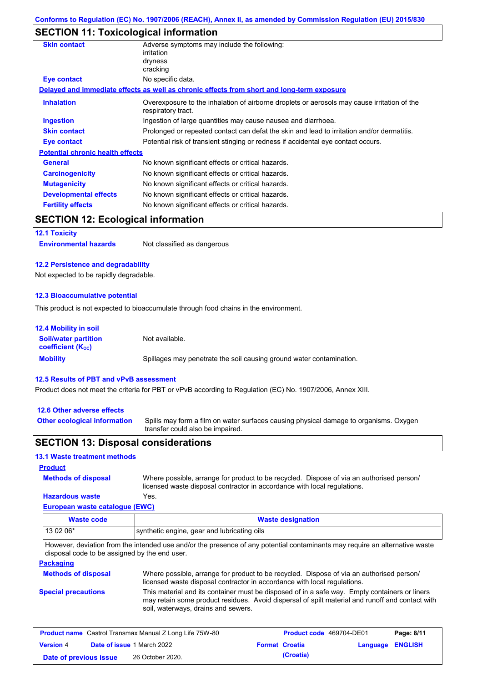## **SECTION 11: Toxicological information**

| <b>Skin contact</b>                       | Adverse symptoms may include the following:                                                                       |
|-------------------------------------------|-------------------------------------------------------------------------------------------------------------------|
|                                           | irritation                                                                                                        |
|                                           | dryness                                                                                                           |
|                                           | cracking                                                                                                          |
| Eye contact                               | No specific data.                                                                                                 |
|                                           | Delayed and immediate effects as well as chronic effects from short and long-term exposure                        |
| <b>Inhalation</b>                         | Overexposure to the inhalation of airborne droplets or aerosols may cause irritation of the<br>respiratory tract. |
| <b>Ingestion</b>                          | Ingestion of large quantities may cause nausea and diarrhoea.                                                     |
| <b>Skin contact</b>                       | Prolonged or repeated contact can defat the skin and lead to irritation and/or dermatitis.                        |
| Eye contact                               | Potential risk of transient stinging or redness if accidental eye contact occurs.                                 |
| <b>Potential chronic health effects</b>   |                                                                                                                   |
| <b>General</b>                            | No known significant effects or critical hazards.                                                                 |
| <b>Carcinogenicity</b>                    | No known significant effects or critical hazards.                                                                 |
| <b>Mutagenicity</b>                       | No known significant effects or critical hazards.                                                                 |
| <b>Developmental effects</b>              | No known significant effects or critical hazards.                                                                 |
| <b>Fertility effects</b>                  | No known significant effects or critical hazards.                                                                 |
| <b>SECTION 12: Ecological information</b> |                                                                                                                   |

## **12.1 Toxicity**

**Environmental hazards** Not classified as dangerous

#### **12.2 Persistence and degradability**

Not expected to be rapidly degradable.

#### **12.3 Bioaccumulative potential**

This product is not expected to bioaccumulate through food chains in the environment.

| <b>12.4 Mobility in soil</b>                                  |                                                                      |
|---------------------------------------------------------------|----------------------------------------------------------------------|
| <b>Soil/water partition</b><br>coefficient (K <sub>oc</sub> ) | Not available.                                                       |
| <b>Mobility</b>                                               | Spillages may penetrate the soil causing ground water contamination. |

#### **12.5 Results of PBT and vPvB assessment**

Product does not meet the criteria for PBT or vPvB according to Regulation (EC) No. 1907/2006, Annex XIII.

#### **12.6 Other adverse effects**

**Other ecological information**

Spills may form a film on water surfaces causing physical damage to organisms. Oxygen transfer could also be impaired.

### **SECTION 13: Disposal considerations**

### **13.1 Waste treatment methods**

### **Product**

Where possible, arrange for product to be recycled. Dispose of via an authorised person/ licensed waste disposal contractor in accordance with local regulations.

### **Hazardous waste** Yes.

**Methods of disposal**

**European waste catalogue (EWC)**

| Waste code | <b>Waste designation</b>                    |  |
|------------|---------------------------------------------|--|
| $130206*$  | synthetic engine, gear and lubricating oils |  |

However, deviation from the intended use and/or the presence of any potential contaminants may require an alternative waste disposal code to be assigned by the end user.

## **Packaging**

| <b>Methods of disposal</b> | Where possible, arrange for product to be recycled. Dispose of via an authorised person/                                                                                                                                                |
|----------------------------|-----------------------------------------------------------------------------------------------------------------------------------------------------------------------------------------------------------------------------------------|
|                            | licensed waste disposal contractor in accordance with local regulations.                                                                                                                                                                |
| <b>Special precautions</b> | This material and its container must be disposed of in a safe way. Empty containers or liners<br>may retain some product residues. Avoid dispersal of spilt material and runoff and contact with<br>soil, waterways, drains and sewers. |

|                        | <b>Product name</b> Castrol Transmax Manual Z Long Life 75W-80 | <b>Product code</b> 469704-DE01 |                  | Page: 8/11 |
|------------------------|----------------------------------------------------------------|---------------------------------|------------------|------------|
| <b>Version 4</b>       | <b>Date of issue 1 March 2022</b>                              | <b>Format Croatia</b>           | Language ENGLISH |            |
| Date of previous issue | 26 October 2020.                                               | (Croatia)                       |                  |            |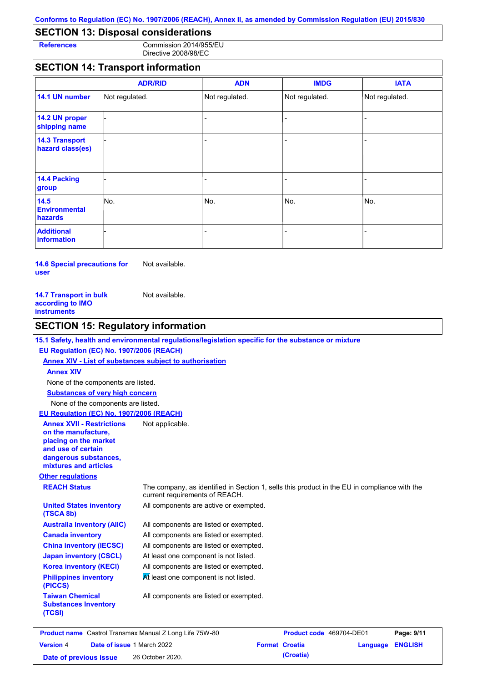## **SECTION 13: Disposal considerations**

**References** Commission 2014/955/EU Directive 2008/98/EC

## **SECTION 14: Transport information**

|                                           | <b>ADR/RID</b> | <b>ADN</b>     | <b>IMDG</b>    | <b>IATA</b>    |
|-------------------------------------------|----------------|----------------|----------------|----------------|
| 14.1 UN number                            | Not regulated. | Not regulated. | Not regulated. | Not regulated. |
| 14.2 UN proper<br>shipping name           |                |                |                |                |
| <b>14.3 Transport</b><br>hazard class(es) |                |                | ۰              |                |
| 14.4 Packing<br>group                     |                |                | $\blacksquare$ |                |
| 14.5<br><b>Environmental</b><br>hazards   | No.            | No.            | No.            | No.            |
| <b>Additional</b><br><b>information</b>   |                |                |                |                |

**14.6 Special precautions for user** Not available.

| <b>14.7 Transport in bulk</b> | Not available. |
|-------------------------------|----------------|
| according to IMO              |                |
| instruments                   |                |

## **SECTION 15: Regulatory information**

## **15.1 Safety, health and environmental regulations/legislation specific for the substance or mixture**

### **EU Regulation (EC) No. 1907/2006 (REACH)**

**Annex XIV - List of substances subject to authorisation Substances of very high concern** None of the components are listed. None of the components are listed. **Annex XIV**

## **EU Regulation (EC) No. 1907/2006 (REACH)**

| <b>Annex XVII - Restrictions</b><br>on the manufacture,<br>placing on the market<br>and use of certain<br>dangerous substances,<br>mixtures and articles | Not applicable.                                                                                                               |
|----------------------------------------------------------------------------------------------------------------------------------------------------------|-------------------------------------------------------------------------------------------------------------------------------|
| <b>Other regulations</b>                                                                                                                                 |                                                                                                                               |
| <b>REACH Status</b>                                                                                                                                      | The company, as identified in Section 1, sells this product in the EU in compliance with the<br>current requirements of REACH |

at requirements of REACH. All components are listed or exempted. All components are listed or exempted. All components are listed or exempted. At least one component is not listed. All components are active or exempted. All components are listed or exempted.  $\overline{M}$  least one component is not listed. **United States inventory (TSCA 8b) Australia inventory (AIIC) Canada inventory China inventory (IECSC) Japan inventory (CSCL) Korea inventory (KECI) Philippines inventory (PICCS) Taiwan Chemical Substances Inventory (TCSI)** All components are listed or exempted.

| <b>Product name</b> Castrol Transmax Manual Z Long Life 75W-80 |  | <b>Product code</b> 469704-DE01   |  | Page: 9/11            |                         |  |
|----------------------------------------------------------------|--|-----------------------------------|--|-----------------------|-------------------------|--|
| <b>Version 4</b>                                               |  | <b>Date of issue 1 March 2022</b> |  | <b>Format Croatia</b> | <b>Language ENGLISH</b> |  |
| Date of previous issue                                         |  | 26 October 2020.                  |  | (Croatia)             |                         |  |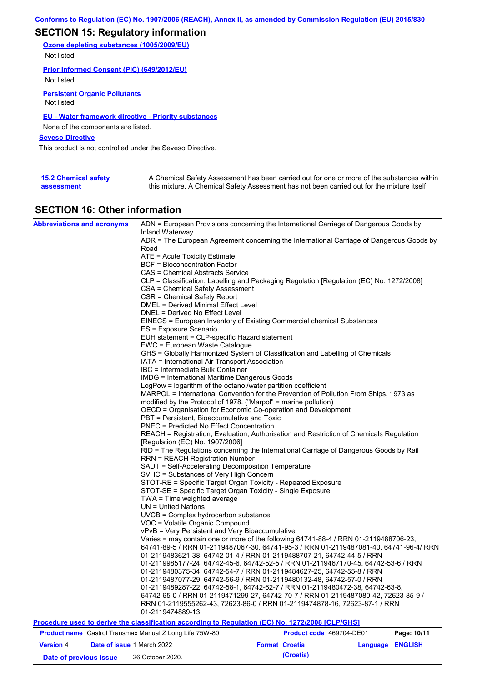# **SECTION 15: Regulatory information**

**Ozone depleting substances (1005/2009/EU)** Not listed.

**Prior Informed Consent (PIC) (649/2012/EU)**

Not listed.

**Persistent Organic Pollutants** Not listed.

## **EU - Water framework directive - Priority substances**

None of the components are listed.

**Seveso Directive**

This product is not controlled under the Seveso Directive.

| <b>15.2 Chemical safety</b> | A Chemical Safety Assessment has been carried out for one or more of the substances within  |
|-----------------------------|---------------------------------------------------------------------------------------------|
| assessment                  | this mixture. A Chemical Safety Assessment has not been carried out for the mixture itself. |

## **SECTION 16: Other information**

| <b>Abbreviations and acronyms</b>                              | ADN = European Provisions concerning the International Carriage of Dangerous Goods by                       |                          |          |                |  |
|----------------------------------------------------------------|-------------------------------------------------------------------------------------------------------------|--------------------------|----------|----------------|--|
|                                                                | Inland Waterway<br>ADR = The European Agreement concerning the International Carriage of Dangerous Goods by |                          |          |                |  |
|                                                                | Road                                                                                                        |                          |          |                |  |
|                                                                | $ATE =$ Acute Toxicity Estimate                                                                             |                          |          |                |  |
|                                                                | <b>BCF</b> = Bioconcentration Factor                                                                        |                          |          |                |  |
|                                                                |                                                                                                             |                          |          |                |  |
|                                                                | CAS = Chemical Abstracts Service                                                                            |                          |          |                |  |
|                                                                | CLP = Classification, Labelling and Packaging Regulation [Regulation (EC) No. 1272/2008]                    |                          |          |                |  |
|                                                                | CSA = Chemical Safety Assessment                                                                            |                          |          |                |  |
|                                                                | CSR = Chemical Safety Report<br>DMEL = Derived Minimal Effect Level                                         |                          |          |                |  |
|                                                                | <b>DNEL = Derived No Effect Level</b>                                                                       |                          |          |                |  |
|                                                                |                                                                                                             |                          |          |                |  |
|                                                                | EINECS = European Inventory of Existing Commercial chemical Substances                                      |                          |          |                |  |
|                                                                | ES = Exposure Scenario                                                                                      |                          |          |                |  |
|                                                                | EUH statement = CLP-specific Hazard statement                                                               |                          |          |                |  |
|                                                                | EWC = European Waste Catalogue                                                                              |                          |          |                |  |
|                                                                | GHS = Globally Harmonized System of Classification and Labelling of Chemicals                               |                          |          |                |  |
|                                                                | IATA = International Air Transport Association                                                              |                          |          |                |  |
|                                                                | IBC = Intermediate Bulk Container                                                                           |                          |          |                |  |
|                                                                | <b>IMDG</b> = International Maritime Dangerous Goods                                                        |                          |          |                |  |
|                                                                | LogPow = logarithm of the octanol/water partition coefficient                                               |                          |          |                |  |
|                                                                | MARPOL = International Convention for the Prevention of Pollution From Ships, 1973 as                       |                          |          |                |  |
|                                                                | modified by the Protocol of 1978. ("Marpol" = marine pollution)                                             |                          |          |                |  |
|                                                                | OECD = Organisation for Economic Co-operation and Development                                               |                          |          |                |  |
|                                                                | PBT = Persistent, Bioaccumulative and Toxic                                                                 |                          |          |                |  |
|                                                                | PNEC = Predicted No Effect Concentration                                                                    |                          |          |                |  |
|                                                                | REACH = Registration, Evaluation, Authorisation and Restriction of Chemicals Regulation                     |                          |          |                |  |
|                                                                | [Regulation (EC) No. 1907/2006]                                                                             |                          |          |                |  |
|                                                                | RID = The Regulations concerning the International Carriage of Dangerous Goods by Rail                      |                          |          |                |  |
|                                                                | <b>RRN = REACH Registration Number</b>                                                                      |                          |          |                |  |
|                                                                | SADT = Self-Accelerating Decomposition Temperature                                                          |                          |          |                |  |
|                                                                | SVHC = Substances of Very High Concern                                                                      |                          |          |                |  |
|                                                                | STOT-RE = Specific Target Organ Toxicity - Repeated Exposure                                                |                          |          |                |  |
|                                                                | STOT-SE = Specific Target Organ Toxicity - Single Exposure                                                  |                          |          |                |  |
|                                                                | $TWA = Time weighted average$                                                                               |                          |          |                |  |
|                                                                | $UN = United Nations$                                                                                       |                          |          |                |  |
|                                                                | UVCB = Complex hydrocarbon substance                                                                        |                          |          |                |  |
|                                                                | VOC = Volatile Organic Compound                                                                             |                          |          |                |  |
|                                                                | vPvB = Very Persistent and Very Bioaccumulative                                                             |                          |          |                |  |
|                                                                | Varies = may contain one or more of the following 64741-88-4 / RRN 01-2119488706-23,                        |                          |          |                |  |
|                                                                | 64741-89-5 / RRN 01-2119487067-30, 64741-95-3 / RRN 01-2119487081-40, 64741-96-4/ RRN                       |                          |          |                |  |
|                                                                | 01-2119483621-38, 64742-01-4 / RRN 01-2119488707-21, 64742-44-5 / RRN                                       |                          |          |                |  |
|                                                                | 01-2119985177-24, 64742-45-6, 64742-52-5 / RRN 01-2119467170-45, 64742-53-6 / RRN                           |                          |          |                |  |
|                                                                | 01-2119480375-34, 64742-54-7 / RRN 01-2119484627-25, 64742-55-8 / RRN                                       |                          |          |                |  |
|                                                                | 01-2119487077-29, 64742-56-9 / RRN 01-2119480132-48, 64742-57-0 / RRN                                       |                          |          |                |  |
|                                                                | 01-2119489287-22, 64742-58-1, 64742-62-7 / RRN 01-2119480472-38, 64742-63-8,                                |                          |          |                |  |
|                                                                | 64742-65-0 / RRN 01-2119471299-27, 64742-70-7 / RRN 01-2119487080-42, 72623-85-9 /                          |                          |          |                |  |
|                                                                | RRN 01-2119555262-43, 72623-86-0 / RRN 01-2119474878-16, 72623-87-1 / RRN                                   |                          |          |                |  |
|                                                                | 01-2119474889-13                                                                                            |                          |          |                |  |
|                                                                | Procedure used to derive the classification according to Regulation (EC) No. 1272/2008 [CLP/GHS]            |                          |          |                |  |
| <b>Product name</b> Castrol Transmax Manual Z Long Life 75W-80 |                                                                                                             | Product code 469704-DE01 |          | Page: 10/11    |  |
| <b>Version 4</b>                                               | Date of issue 1 March 2022                                                                                  | <b>Format Croatia</b>    | Language | <b>ENGLISH</b> |  |

**Date of previous issue (Croatia)** 26 October 2020.